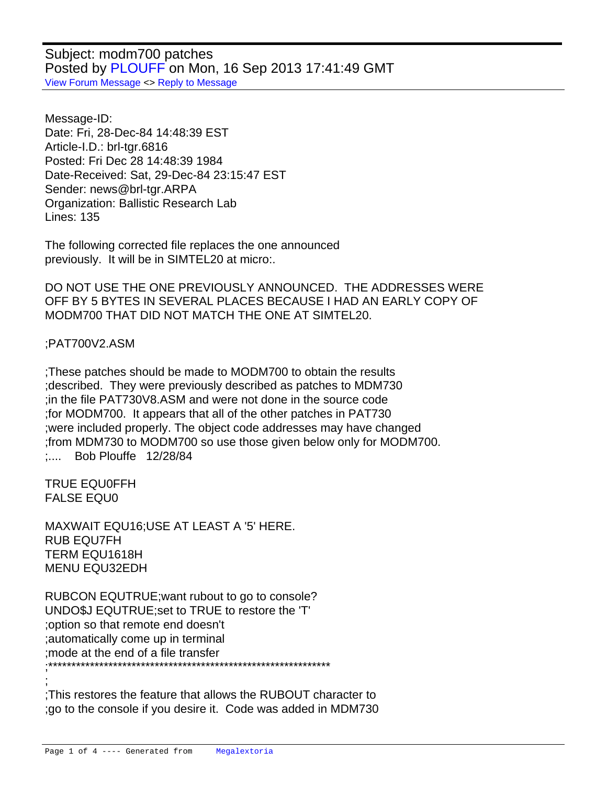Subject: modm700 patches Posted by [PLOUFF](http://www.megalextoria.com/forum2/index.php?t=usrinfo&id=5631) on Mon, 16 Sep 2013 17:41:49 GMT [View Forum Message](http://www.megalextoria.com/forum2/index.php?t=rview&th=46049&goto=112256#msg_112256) <> [Reply to Message](http://www.megalextoria.com/forum2/index.php?t=post&reply_to=112256)

Message-ID: Date: Fri, 28-Dec-84 14:48:39 EST Article-I.D.: brl-tgr.6816 Posted: Fri Dec 28 14:48:39 1984 Date-Received: Sat, 29-Dec-84 23:15:47 EST Sender: news@brl-tgr.ARPA Organization: Ballistic Research Lab Lines: 135

The following corrected file replaces the one announced previously. It will be in SIMTEL20 at micro:.

DO NOT USE THE ONE PREVIOUSLY ANNOUNCED. THE ADDRESSES WERE OFF BY 5 BYTES IN SEVERAL PLACES BECAUSE I HAD AN EARLY COPY OF MODM700 THAT DID NOT MATCH THE ONE AT SIMTEL20.

## ; PAT700V2.ASM

;These patches should be made to MODM700 to obtain the results ;described. They were previously described as patches to MDM730 ;in the file PAT730V8.ASM and were not done in the source code ;for MODM700. It appears that all of the other patches in PAT730 ;were included properly. The object code addresses may have changed ;from MDM730 to MODM700 so use those given below only for MODM700. : .... Bob Plouffe 12/28/84

TRUE EQU 0FFH FALSE EQU 0

;

MAXWAIT EQU 16 : USE AT LEAST A '5' HERE. RUB EQU 7FH TERM EQU 1618H MENU EQU 32EDH

RUBCON EQU TRUE ; want rubout to go to console? UNDO\$J EQU TRUE ;set to TRUE to restore the 'T' ;option so that remote end doesn't ;automatically come up in terminal ;mode at the end of a file transfer ;\*\*\*\*\*\*\*\*\*\*\*\*\*\*\*\*\*\*\*\*\*\*\*\*\*\*\*\*\*\*\*\*\*\*\*\*\*\*\*\*\*\*\*\*\*\*\*\*\*\*\*\*\*\*\*\*\*\*\*\*\*

;This restores the feature that allows the RUBOUT character to ;go to the console if you desire it. Code was added in MDM730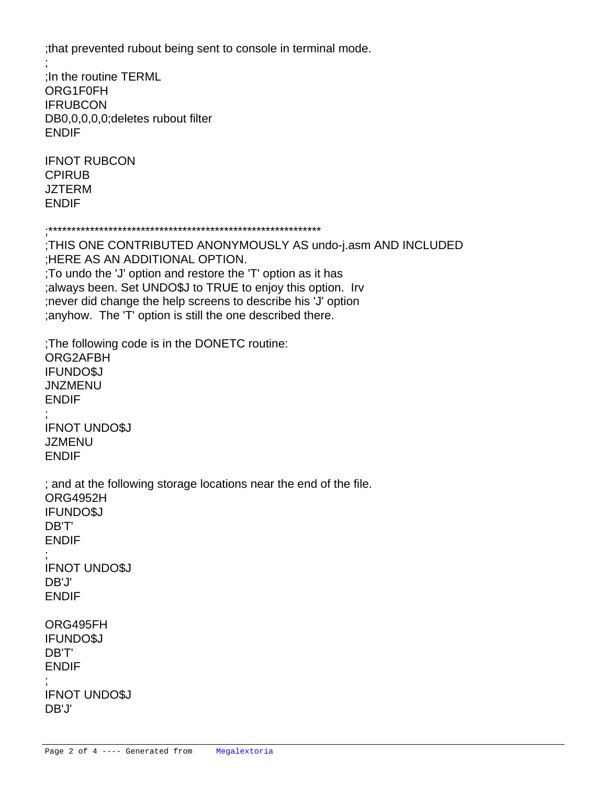;that prevented rubout being sent to console in terminal mode.

; ;In the routine TERML ORG 1F0FH **IF RUBCON** DB 0,0,0,0,0 ; deletes rubout filter ENDIF

**IF NOT RUBCON CPI RUB JZ TERM**  ENDIF

;\*\*\*\*\*\*\*\*\*\*\*\*\*\*\*\*\*\*\*\*\*\*\*\*\*\*\*\*\*\*\*\*\*\*\*\*\*\*\*\*\*\*\*\*\*\*\*\*\*\*\*\*\*\*\*\*\*\*\*

;THIS ONE CONTRIBUTED ANONYMOUSLY AS undo-j.asm AND INCLUDED ;HERE AS AN ADDITIONAL OPTION. ;To undo the 'J' option and restore the 'T' option as it has ;always been. Set UNDO\$J to TRUE to enjoy this option. Irv ;never did change the help screens to describe his 'J' option ;anyhow. The 'T' option is still the one described there.

;The following code is in the DONETC routine: ORG 2AFBH **IF UNDOSJ JNZ MENU**  ENDIF ; **IF NOT UNDO\$J JZ MENU**  ENDIF

; and at the following storage locations near the end of the file. ORG 4952H **IF UNDOSJ**  DB 'T' ENDIF ;

**IF NOT UNDO\$J**  DB 'J' ENDIF

 ORG 495FH **IF UNDOSJ** DB 'T' ENDIF

 ;

**IF NOT UNDO\$J**  DB 'J'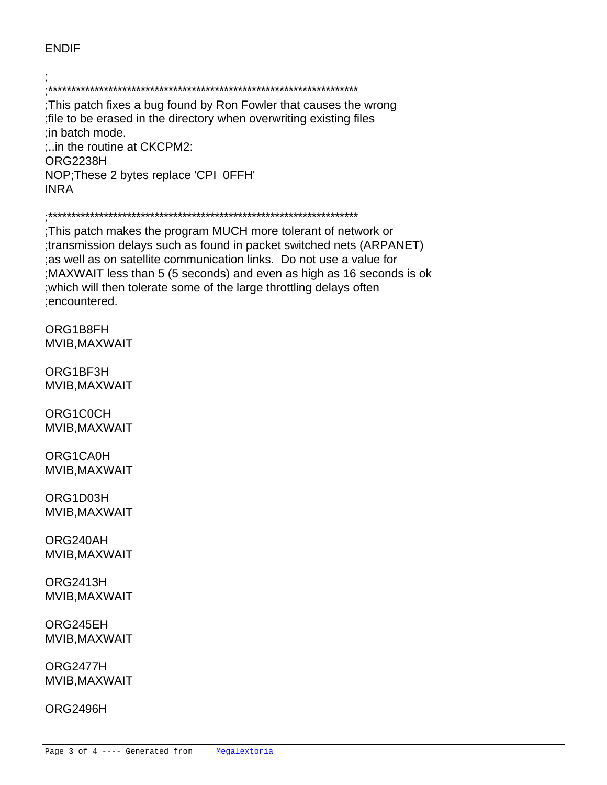## ENDIF

; ;\*\*\*\*\*\*\*\*\*\*\*\*\*\*\*\*\*\*\*\*\*\*\*\*\*\*\*\*\*\*\*\*\*\*\*\*\*\*\*\*\*\*\*\*\*\*\*\*\*\*\*\*\*\*\*\*\*\*\*\*\*\*\*\*\*\*\* ;This patch fixes a bug found by Ron Fowler that causes the wrong ;file to be erased in the directory when overwriting existing files ;in batch mode. ;..in the routine at CKCPM2: ORG 2238H NOP ; These 2 bytes replace 'CPI 0FFH' INR A

## ;\*\*\*\*\*\*\*\*\*\*\*\*\*\*\*\*\*\*\*\*\*\*\*\*\*\*\*\*\*\*\*\*\*\*\*\*\*\*\*\*\*\*\*\*\*\*\*\*\*\*\*\*\*\*\*\*\*\*\*\*\*\*\*\*\*\*\*

;This patch makes the program MUCH more tolerant of network or ;transmission delays such as found in packet switched nets (ARPANET) ;as well as on satellite communication links. Do not use a value for ;MAXWAIT less than 5 (5 seconds) and even as high as 16 seconds is ok ;which will then tolerate some of the large throttling delays often ;encountered.

ORG 1B8FH **MVI B, MAXWAIT** 

 ORG 1BF3H **MVI B, MAXWAIT** 

ORG 1C0CH **MVI B, MAXWAIT** 

ORG 1CA0H **MVI B,MAXWAIT** 

 ORG 1D03H **MVI B, MAXWAIT** 

 ORG 240AH **MVI B, MAXWAIT** 

 ORG 2413H MVI B.MAXWAIT

 ORG 245EH **MVI B, MAXWAIT** 

 ORG 2477H **MVI B, MAXWAIT** 

 ORG 2496H